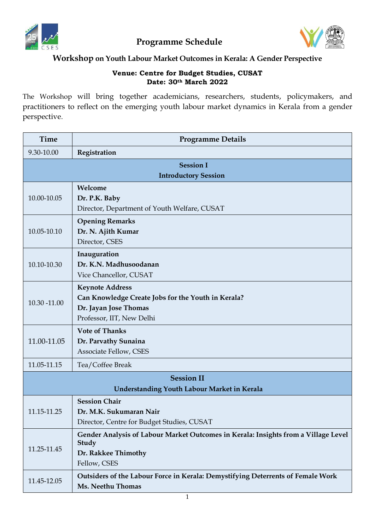

**Programme Schedule**



## **Workshop on Youth Labour Market Outcomes in Kerala: A Gender Perspective**

## **Venue: Centre for Budget Studies, CUSAT Date: 30th March 2022**

The Workshop will bring together academicians, researchers, students, policymakers, and practitioners to reflect on the emerging youth labour market dynamics in Kerala from a gender perspective.

| <b>Time</b>                                        | <b>Programme Details</b>                                                                                                           |  |
|----------------------------------------------------|------------------------------------------------------------------------------------------------------------------------------------|--|
| 9.30-10.00                                         | Registration                                                                                                                       |  |
| <b>Session I</b>                                   |                                                                                                                                    |  |
| <b>Introductory Session</b>                        |                                                                                                                                    |  |
| 10.00-10.05                                        | Welcome<br>Dr. P.K. Baby<br>Director, Department of Youth Welfare, CUSAT                                                           |  |
| 10.05-10.10                                        | <b>Opening Remarks</b><br>Dr. N. Ajith Kumar<br>Director, CSES                                                                     |  |
| 10.10-10.30                                        | Inauguration<br>Dr. K.N. Madhusoodanan<br>Vice Chancellor, CUSAT                                                                   |  |
| 10.30 -11.00                                       | <b>Keynote Address</b><br>Can Knowledge Create Jobs for the Youth in Kerala?<br>Dr. Jayan Jose Thomas<br>Professor, IIT, New Delhi |  |
| 11.00-11.05                                        | <b>Vote of Thanks</b><br>Dr. Parvathy Sunaina<br><b>Associate Fellow, CSES</b>                                                     |  |
| 11.05-11.15                                        | Tea/Coffee Break                                                                                                                   |  |
| <b>Session II</b>                                  |                                                                                                                                    |  |
| <b>Understanding Youth Labour Market in Kerala</b> |                                                                                                                                    |  |
| 11.15-11.25                                        | <b>Session Chair</b><br>Dr. M.K. Sukumaran Nair<br>Director, Centre for Budget Studies, CUSAT                                      |  |
| 11.25-11.45                                        | Gender Analysis of Labour Market Outcomes in Kerala: Insights from a Village Level<br>Study<br>Dr. Rakkee Thimothy<br>Fellow, CSES |  |
| 11.45-12.05                                        | Outsiders of the Labour Force in Kerala: Demystifying Deterrents of Female Work<br>Ms. Neethu Thomas                               |  |